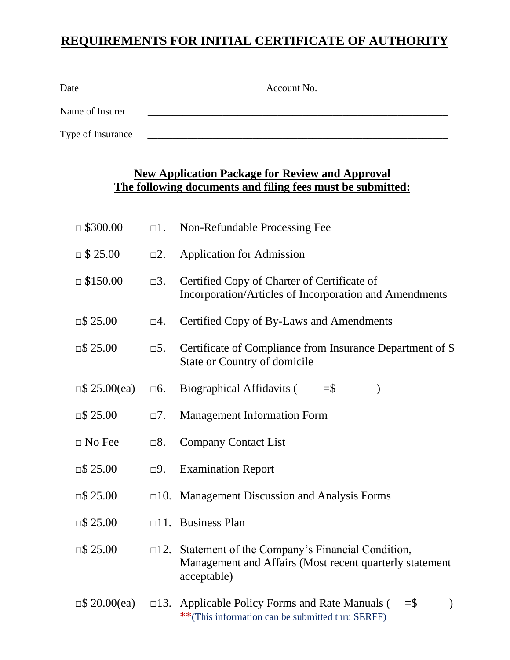# **REQUIREMENTS FOR INITIAL CERTIFICATE OF AUTHORITY**

| Date              | Account No. |
|-------------------|-------------|
| Name of Insurer   |             |
| Type of Insurance |             |

# **New Application Package for Review and Approval The following documents and filing fees must be submitted:**

| $\Box$ \$300.00     | $\Box$ 1.     | Non-Refundable Processing Fee                                                                                                        |
|---------------------|---------------|--------------------------------------------------------------------------------------------------------------------------------------|
| $\Box$ \$ 25.00     | $\square$ 2.  | <b>Application for Admission</b>                                                                                                     |
| $\Box$ \$150.00     | $\square$ 3.  | Certified Copy of Charter of Certificate of<br>Incorporation/Articles of Incorporation and Amendments                                |
| $\Box$ \$ 25.00     | $\square 4.$  | Certified Copy of By-Laws and Amendments                                                                                             |
| $\Box$ \$ 25.00     | $\square 5.$  | Certificate of Compliance from Insurance Department of S<br><b>State or Country of domicile</b>                                      |
| $\Box$ \$ 25.00(ea) | $\square 6.$  | <b>Biographical Affidavits (</b><br>$=$ \$<br>$\mathcal{E}$                                                                          |
| $\Box$ \$ 25.00     | $\Box$ 7.     | <b>Management Information Form</b>                                                                                                   |
| $\Box$ No Fee       | $\square 8.$  | <b>Company Contact List</b>                                                                                                          |
| $\Box$ \$ 25.00     | $\square$ 9.  | <b>Examination Report</b>                                                                                                            |
| $\Box$ \$ 25.00     |               | $\Box$ 10. Management Discussion and Analysis Forms                                                                                  |
| $\Box$ \$ 25.00     |               | $\Box$ 11. Business Plan                                                                                                             |
| $\Box$ \$ 25.00     |               | $\Box$ 2. Statement of the Company's Financial Condition,<br>Management and Affairs (Most recent quarterly statement<br>acceptable)  |
| $\Box$ \$ 20.00(ea) | $\square$ 13. | Applicable Policy Forms and Rate Manuals (<br>$=$ $\frac{1}{2}$<br>$\mathcal{E}$<br>**(This information can be submitted thru SERFF) |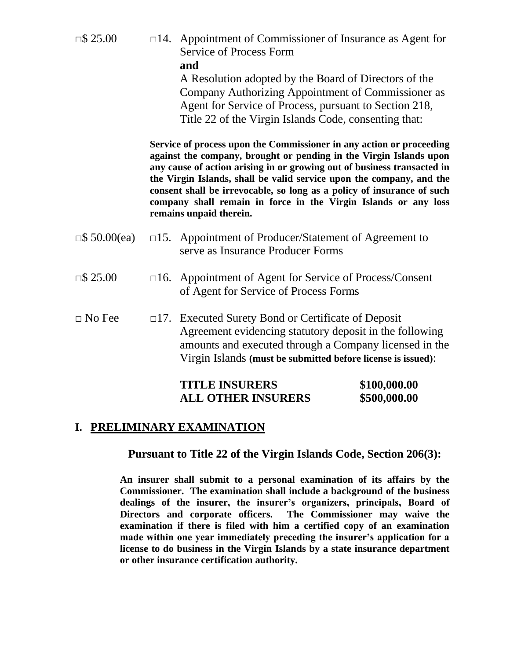| $\Box$ \$ 25.00     |               | $\Box$ 14. Appointment of Commissioner of Insurance as Agent for<br>Service of Process Form<br>and                                                                                                                                                                                                                                                                                                                                                                    |                              |
|---------------------|---------------|-----------------------------------------------------------------------------------------------------------------------------------------------------------------------------------------------------------------------------------------------------------------------------------------------------------------------------------------------------------------------------------------------------------------------------------------------------------------------|------------------------------|
|                     |               | A Resolution adopted by the Board of Directors of the<br>Company Authorizing Appointment of Commissioner as<br>Agent for Service of Process, pursuant to Section 218,<br>Title 22 of the Virgin Islands Code, consenting that:                                                                                                                                                                                                                                        |                              |
|                     |               | Service of process upon the Commissioner in any action or proceeding<br>against the company, brought or pending in the Virgin Islands upon<br>any cause of action arising in or growing out of business transacted in<br>the Virgin Islands, shall be valid service upon the company, and the<br>consent shall be irrevocable, so long as a policy of insurance of such<br>company shall remain in force in the Virgin Islands or any loss<br>remains unpaid therein. |                              |
| $\Box$ \$ 50.00(ea) |               | □15. Appointment of Producer/Statement of Agreement to<br>serve as Insurance Producer Forms                                                                                                                                                                                                                                                                                                                                                                           |                              |
| $\Box$ \$ 25.00     | $\square 16.$ | Appointment of Agent for Service of Process/Consent<br>of Agent for Service of Process Forms                                                                                                                                                                                                                                                                                                                                                                          |                              |
| $\Box$ No Fee       | $\square 17.$ | <b>Executed Surety Bond or Certificate of Deposit</b><br>Agreement evidencing statutory deposit in the following<br>amounts and executed through a Company licensed in the<br>Virgin Islands (must be submitted before license is issued):                                                                                                                                                                                                                            |                              |
|                     |               | <b>TITLE INSURERS</b><br><b>ALL OTHER INSURERS</b>                                                                                                                                                                                                                                                                                                                                                                                                                    | \$100,000.00<br>\$500,000.00 |

## **I. PRELIMINARY EXAMINATION**

**Pursuant to Title 22 of the Virgin Islands Code, Section 206(3):**

**An insurer shall submit to a personal examination of its affairs by the Commissioner. The examination shall include a background of the business dealings of the insurer, the insurer's organizers, principals, Board of Directors and corporate officers. The Commissioner may waive the examination if there is filed with him a certified copy of an examination made within one year immediately preceding the insurer's application for a license to do business in the Virgin Islands by a state insurance department or other insurance certification authority.**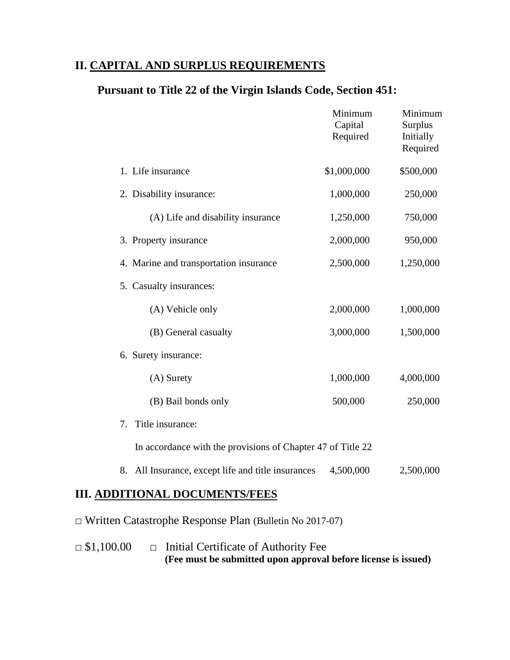# **II. CAPITAL AND SURPLUS REQUIREMENTS**

# **Pursuant to Title 22 of the Virgin Islands Code, Section 451:**

|    |                                                             | Minimum<br>Capital<br>Required | Minimum<br>Surplus<br>Initially<br>Required |
|----|-------------------------------------------------------------|--------------------------------|---------------------------------------------|
|    | 1. Life insurance                                           | \$1,000,000                    | \$500,000                                   |
|    | 2. Disability insurance:                                    | 1,000,000                      | 250,000                                     |
|    | (A) Life and disability insurance                           | 1,250,000                      | 750,000                                     |
|    | 3. Property insurance                                       | 2,000,000                      | 950,000                                     |
|    | 4. Marine and transportation insurance                      | 2,500,000                      | 1,250,000                                   |
|    | 5. Casualty insurances:                                     |                                |                                             |
|    | (A) Vehicle only                                            | 2,000,000                      | 1,000,000                                   |
|    | (B) General casualty                                        | 3,000,000                      | 1,500,000                                   |
|    | 6. Surety insurance:                                        |                                |                                             |
|    | (A) Surety                                                  | 1,000,000                      | 4,000,000                                   |
|    | (B) Bail bonds only                                         | 500,000                        | 250,000                                     |
| 7. | Title insurance:                                            |                                |                                             |
|    | In accordance with the provisions of Chapter 47 of Title 22 |                                |                                             |
| 8. | All Insurance, except life and title insurances             | 4,500,000                      | 2,500,000                                   |
|    |                                                             |                                |                                             |

# **III. ADDITIONAL DOCUMENTS/FEES**

□ Written Catastrophe Response Plan (Bulletin No 2017-07)

**□** \$1,100.00 □ Initial Certificate of Authority Fee  **(Fee must be submitted upon approval before license is issued)**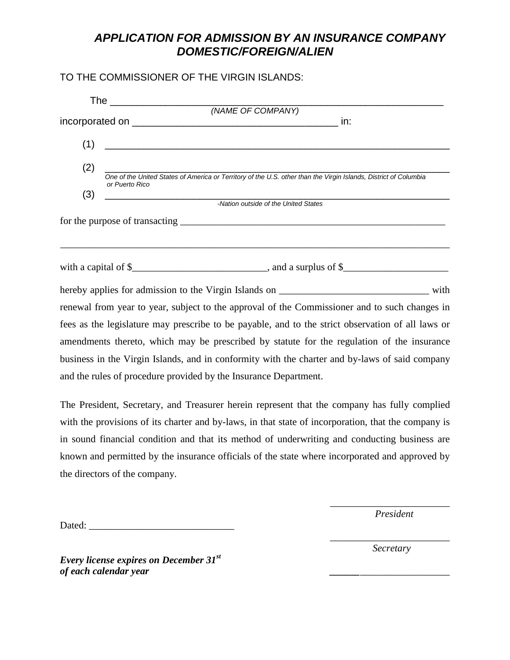# *APPLICATION FOR ADMISSION BY AN INSURANCE COMPANY DOMESTIC/FOREIGN/ALIEN*

### TO THE COMMISSIONER OF THE VIRGIN ISLANDS:

| (1) |                                                                                                                                            |
|-----|--------------------------------------------------------------------------------------------------------------------------------------------|
| (2) |                                                                                                                                            |
|     | One of the United States of America or Territory of the U.S. other than the Virgin Islands, District of Columbia<br>or Puerto Rico         |
| (3) |                                                                                                                                            |
|     | <b>Mation outside of the United States</b><br>Alternative of the United States                                                             |
|     |                                                                                                                                            |
|     | with a capital of $\frac{1}{2}$ memory and a surplus of $\frac{1}{2}$ and a surplus of $\frac{1}{2}$ memory and a surplus of $\frac{1}{2}$ |
|     |                                                                                                                                            |
|     | renewal from year to year, subject to the approval of the Commissioner and to such changes in                                              |
|     | fees as the legislature may prescribe to be payable, and to the strict observation of all laws or                                          |
|     | amendments thereto, which may be prescribed by statute for the regulation of the insurance                                                 |
|     | business in the Virgin Islands, and in conformity with the charter and by-laws of said company                                             |
|     | and the rules of procedure provided by the Insurance Department.                                                                           |
|     | The President Secretary and Treasurer began represent that the company has fully complied                                                  |

The President, Secretary, and Treasurer herein represent that the company has fully complied with the provisions of its charter and by-laws, in that state of incorporation, that the company is in sound financial condition and that its method of underwriting and conducting business are known and permitted by the insurance officials of the state where incorporated and approved by the directors of the company.

Dated: \_\_\_\_\_\_\_\_\_\_\_\_\_\_\_\_\_\_\_\_\_\_\_\_\_\_\_\_\_

\_\_\_\_\_\_\_\_\_\_\_\_\_\_\_\_\_\_\_\_\_\_\_\_ *President*

\_\_\_\_\_\_\_\_\_\_\_\_\_\_\_\_\_\_\_\_\_\_\_\_ *Secretary*

*Every license expires on December 31st of each calendar year \_\_\_\_\_\_*\_\_\_\_\_\_\_\_\_\_\_\_\_\_\_\_\_\_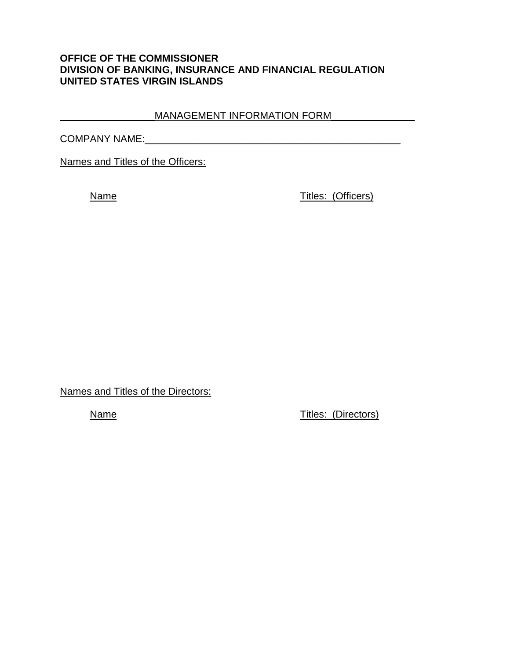### **OFFICE OF THE COMMISSIONER DIVISION OF BANKING, INSURANCE AND FINANCIAL REGULATION UNITED STATES VIRGIN ISLANDS**

### \_\_\_\_\_\_\_\_\_\_\_\_\_\_\_\_\_MANAGEMENT INFORMATION FORM\_\_\_\_\_\_\_\_\_\_\_\_\_\_\_

COMPANY NAME:\_\_\_\_\_\_\_\_\_\_\_\_\_\_\_\_\_\_\_\_\_\_\_\_\_\_\_\_\_\_\_\_\_\_\_\_\_\_\_\_\_\_\_\_\_\_

Names and Titles of the Officers:

Name Titles: (Officers)

Names and Titles of the Directors:

Name Titles: (Directors)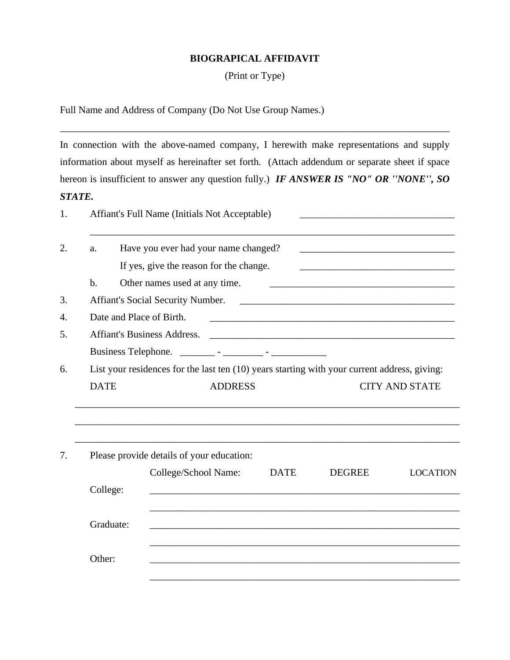#### **BIOGRAPICAL AFFIDAVIT**

(Print or Type)

Full Name and Address of Company (Do Not Use Group Names.)

In connection with the above-named company, I herewith make representations and supply information about myself as hereinafter set forth. (Attach addendum or separate sheet if space hereon is insufficient to answer any question fully.) *IF ANSWER IS "NO" OR ''NONE'', SO STATE.*

\_\_\_\_\_\_\_\_\_\_\_\_\_\_\_\_\_\_\_\_\_\_\_\_\_\_\_\_\_\_\_\_\_\_\_\_\_\_\_\_\_\_\_\_\_\_\_\_\_\_\_\_\_\_\_\_\_\_\_\_\_\_\_\_\_\_\_\_\_\_\_\_\_\_\_\_\_\_

|             | Affiant's Full Name (Initials Not Acceptable)                                                |                |             |                                                                                                                       |                       |
|-------------|----------------------------------------------------------------------------------------------|----------------|-------------|-----------------------------------------------------------------------------------------------------------------------|-----------------------|
| a.          | Have you ever had your name changed?                                                         |                |             | <u> 1989 - Johann Barbara, martin amerikan basar dan berasal dan berasal dalam basar dalam basar dalam basar dala</u> |                       |
|             | If yes, give the reason for the change.                                                      |                |             |                                                                                                                       |                       |
| $b$ .       | Other names used at any time.                                                                |                |             | <u> 1989 - Jan Barnett, fransk politiker (d. 1989)</u>                                                                |                       |
|             |                                                                                              |                |             |                                                                                                                       |                       |
|             | Date and Place of Birth.                                                                     |                |             |                                                                                                                       |                       |
|             | Affiant's Business Address.                                                                  |                |             |                                                                                                                       |                       |
|             |                                                                                              |                |             |                                                                                                                       |                       |
|             | List your residences for the last ten (10) years starting with your current address, giving: |                |             |                                                                                                                       |                       |
| <b>DATE</b> |                                                                                              | <b>ADDRESS</b> |             |                                                                                                                       | <b>CITY AND STATE</b> |
|             |                                                                                              |                |             |                                                                                                                       |                       |
|             | Please provide details of your education:                                                    |                |             |                                                                                                                       |                       |
|             | College/School Name:                                                                         |                | <b>DATE</b> | <b>DEGREE</b>                                                                                                         | <b>LOCATION</b>       |
| College:    |                                                                                              |                |             |                                                                                                                       |                       |
| Graduate:   |                                                                                              |                |             |                                                                                                                       |                       |
|             |                                                                                              |                |             |                                                                                                                       |                       |
| Other:      |                                                                                              |                |             |                                                                                                                       |                       |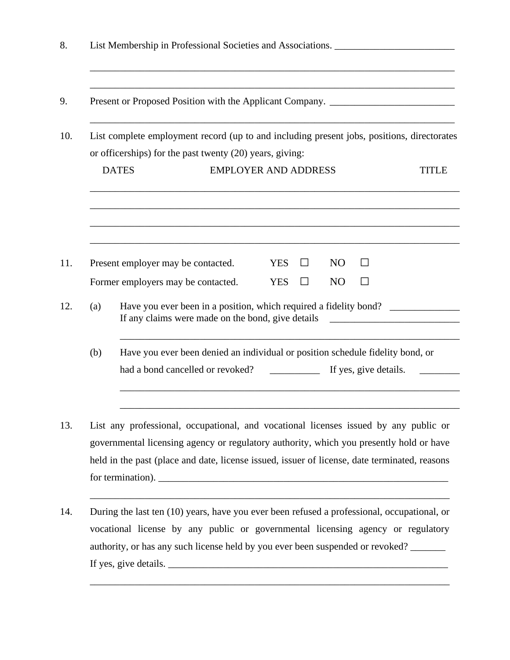| Present or Proposed Position with the Applicant Company. ________________________          |                                                                                                                                                                                                                                                                                                                                                                |  |
|--------------------------------------------------------------------------------------------|----------------------------------------------------------------------------------------------------------------------------------------------------------------------------------------------------------------------------------------------------------------------------------------------------------------------------------------------------------------|--|
| List complete employment record (up to and including present jobs, positions, directorates |                                                                                                                                                                                                                                                                                                                                                                |  |
|                                                                                            | or officerships) for the past twenty (20) years, giving:                                                                                                                                                                                                                                                                                                       |  |
|                                                                                            | <b>DATES</b><br><b>EMPLOYER AND ADDRESS</b><br><b>TITLE</b>                                                                                                                                                                                                                                                                                                    |  |
|                                                                                            | N <sub>O</sub><br>Present employer may be contacted.<br><b>YES</b><br>$\blacksquare$                                                                                                                                                                                                                                                                           |  |
|                                                                                            | Former employers may be contacted.<br><b>YES</b><br>N <sub>O</sub><br>$\mathsf{L}$                                                                                                                                                                                                                                                                             |  |
| (a)                                                                                        | Have you ever been in a position, which required a fidelity bond?<br>If any claims were made on the bond, give details<br><u> 1989 - Johann Harry Harry Harry Harry Harry Harry Harry Harry Harry Harry Harry Harry Harry Harry Harry Harry Harry Harry Harry Harry Harry Harry Harry Harry Harry Harry Harry Harry Harry Harry Harry Harry Harry Harry Ha</u> |  |
| (b)                                                                                        | Have you ever been denied an individual or position schedule fidelity bond, or                                                                                                                                                                                                                                                                                 |  |
|                                                                                            | had a bond cancelled or revoked?<br>If yes, give details.                                                                                                                                                                                                                                                                                                      |  |
|                                                                                            | List any professional, occupational, and vocational licenses issued by any public or<br>governmental licensing agency or regulatory authority, which you presently hold or have<br>held in the past (place and date, license issued, issuer of license, date terminated, reasons                                                                               |  |

If yes, give details. \_\_\_\_\_\_\_\_\_\_\_\_\_\_\_\_\_\_\_\_\_\_\_\_\_\_\_\_\_\_\_\_\_\_\_\_\_\_\_\_\_\_\_\_\_\_\_\_\_\_\_\_\_\_\_\_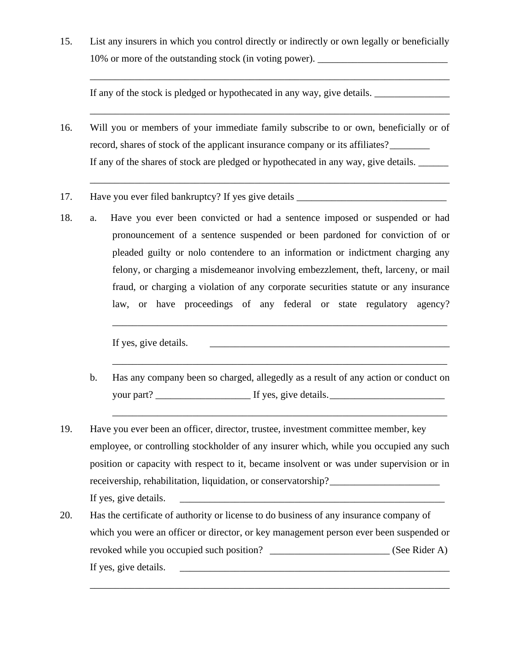15. List any insurers in which you control directly or indirectly or own legally or beneficially 10% or more of the outstanding stock (in voting power).

\_\_\_\_\_\_\_\_\_\_\_\_\_\_\_\_\_\_\_\_\_\_\_\_\_\_\_\_\_\_\_\_\_\_\_\_\_\_\_\_\_\_\_\_\_\_\_\_\_\_\_\_\_\_\_\_\_\_\_\_\_\_\_\_\_\_\_\_\_\_\_\_

\_\_\_\_\_\_\_\_\_\_\_\_\_\_\_\_\_\_\_\_\_\_\_\_\_\_\_\_\_\_\_\_\_\_\_\_\_\_\_\_\_\_\_\_\_\_\_\_\_\_\_\_\_\_\_\_\_\_\_\_\_\_\_\_\_\_\_\_\_\_\_\_

\_\_\_\_\_\_\_\_\_\_\_\_\_\_\_\_\_\_\_\_\_\_\_\_\_\_\_\_\_\_\_\_\_\_\_\_\_\_\_\_\_\_\_\_\_\_\_\_\_\_\_\_\_\_\_\_\_\_\_\_\_\_\_\_\_\_\_\_\_\_\_\_

If any of the stock is pledged or hypothecated in any way, give details.

- 16. Will you or members of your immediate family subscribe to or own, beneficially or of record, shares of stock of the applicant insurance company or its affiliates? If any of the shares of stock are pledged or hypothecated in any way, give details.
- 17. Have you ever filed bankruptcy? If yes give details \_\_\_\_\_\_\_\_\_\_\_\_\_\_\_\_\_\_\_\_\_\_\_\_
- 18. a. Have you ever been convicted or had a sentence imposed or suspended or had pronouncement of a sentence suspended or been pardoned for conviction of or pleaded guilty or nolo contendere to an information or indictment charging any felony, or charging a misdemeanor involving embezzlement, theft, larceny, or mail fraud, or charging a violation of any corporate securities statute or any insurance law, or have proceedings of any federal or state regulatory agency?

If yes, give details.

\_\_\_\_\_\_\_\_\_\_\_\_\_\_\_\_\_\_\_\_\_\_\_\_\_\_\_\_\_\_\_\_\_\_\_\_\_\_\_\_\_\_\_\_\_\_\_\_\_\_\_\_\_\_\_\_\_\_\_\_\_\_\_\_\_\_\_

\_\_\_\_\_\_\_\_\_\_\_\_\_\_\_\_\_\_\_\_\_\_\_\_\_\_\_\_\_\_\_\_\_\_\_\_\_\_\_\_\_\_\_\_\_\_\_\_\_\_\_\_\_\_\_\_\_\_\_\_\_\_\_\_\_\_\_

\_\_\_\_\_\_\_\_\_\_\_\_\_\_\_\_\_\_\_\_\_\_\_\_\_\_\_\_\_\_\_\_\_\_\_\_\_\_\_\_\_\_\_\_\_\_\_\_\_\_\_\_\_\_\_\_\_\_\_\_\_\_\_\_\_\_\_

- b. Has any company been so charged, allegedly as a result of any action or conduct on your part? The same set of the set of the set of the set of the set of the set of the set of the set of the set of the set of the set of the set of the set of the set of the set of the set of the set of the set of the set
- 19. Have you ever been an officer, director, trustee, investment committee member, key employee, or controlling stockholder of any insurer which, while you occupied any such position or capacity with respect to it, became insolvent or was under supervision or in receivership, rehabilitation, liquidation, or conservatorship? If yes, give details.
- 20. Has the certificate of authority or license to do business of any insurance company of which you were an officer or director, or key management person ever been suspended or revoked while you occupied such position? \_\_\_\_\_\_\_\_\_\_\_\_\_\_\_\_\_\_\_\_\_\_\_\_\_\_\_\_\_\_\_\_ (See Rider A) If yes, give details.

\_\_\_\_\_\_\_\_\_\_\_\_\_\_\_\_\_\_\_\_\_\_\_\_\_\_\_\_\_\_\_\_\_\_\_\_\_\_\_\_\_\_\_\_\_\_\_\_\_\_\_\_\_\_\_\_\_\_\_\_\_\_\_\_\_\_\_\_\_\_\_\_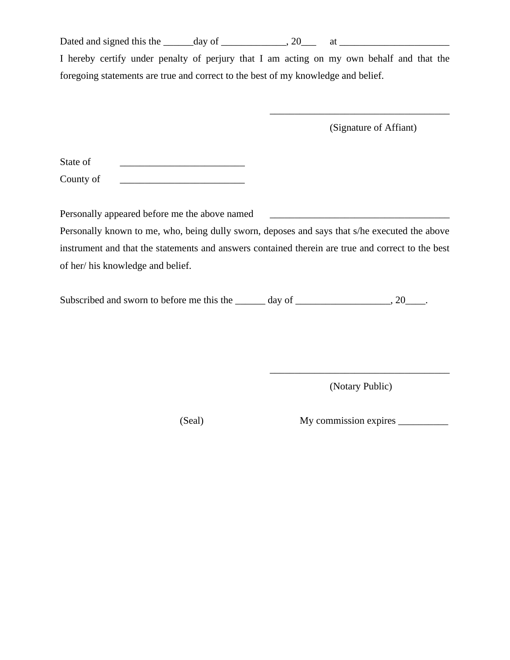Dated and signed this the  $\_\_\_\_day$  of  $\_\_\_\_\_y$ , 20 $\_\_\_\_$  at  $\_\_\_\_\_\_\_\_x$ 

I hereby certify under penalty of perjury that I am acting on my own behalf and that the foregoing statements are true and correct to the best of my knowledge and belief.

(Signature of Affiant)

\_\_\_\_\_\_\_\_\_\_\_\_\_\_\_\_\_\_\_\_\_\_\_\_\_\_\_\_\_\_\_\_\_\_\_\_

| State of  |  |
|-----------|--|
| County of |  |

Personally appeared before me the above named Personally known to me, who, being dully sworn, deposes and says that s/he executed the above instrument and that the statements and answers contained therein are true and correct to the best of her/ his knowledge and belief.

Subscribed and sworn to before me this the  $\qquad \qquad$  day of  $\qquad \qquad$ , 20

(Notary Public)

\_\_\_\_\_\_\_\_\_\_\_\_\_\_\_\_\_\_\_\_\_\_\_\_\_\_\_\_\_\_\_\_\_\_\_\_

(Seal) My commission expires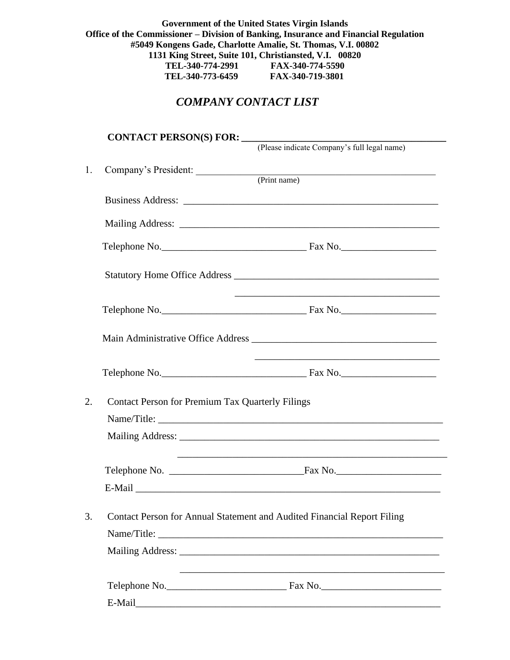**Government of the United States Virgin Islands Office of the Commissioner – Division of Banking, Insurance and Financial Regulation #5049 Kongens Gade, Charlotte Amalie, St. Thomas, V.I. 00802 1131 King Street, Suite 101, Christiansted, V.I. 00820 TEL-340-774-2991 FAX-340-774-5590 TEL-340-773-6459 FAX-340-719-3801**

# *COMPANY CONTACT LIST*

|    | CONTACT PERSON(S) FOR: ______________                   |                                                                                         |
|----|---------------------------------------------------------|-----------------------------------------------------------------------------------------|
|    |                                                         | (Please indicate Company's full legal name)                                             |
| 1. |                                                         | Company's President: (Print name)                                                       |
|    |                                                         |                                                                                         |
|    |                                                         |                                                                                         |
|    |                                                         |                                                                                         |
|    |                                                         |                                                                                         |
|    |                                                         |                                                                                         |
|    |                                                         | Main Administrative Office Address <b>Exercísies Main Administrative Office Address</b> |
|    |                                                         |                                                                                         |
| 2. | <b>Contact Person for Premium Tax Quarterly Filings</b> |                                                                                         |
|    |                                                         |                                                                                         |
|    |                                                         |                                                                                         |
|    |                                                         |                                                                                         |
|    |                                                         |                                                                                         |
| 3. |                                                         | Contact Person for Annual Statement and Audited Financial Report Filing                 |
|    |                                                         |                                                                                         |
|    |                                                         |                                                                                         |
|    |                                                         |                                                                                         |
|    |                                                         |                                                                                         |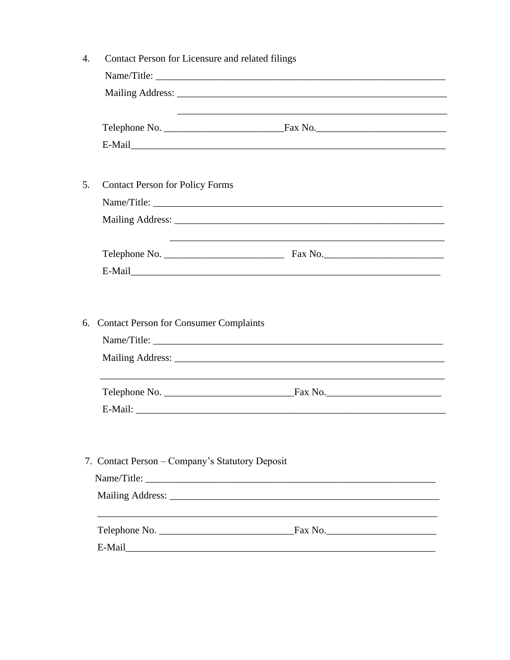|    | Contact Person for Licensure and related filings |             |  |  |  |
|----|--------------------------------------------------|-------------|--|--|--|
|    |                                                  | Name/Title: |  |  |  |
|    |                                                  |             |  |  |  |
|    |                                                  |             |  |  |  |
|    |                                                  |             |  |  |  |
|    |                                                  |             |  |  |  |
| 5. | <b>Contact Person for Policy Forms</b>           |             |  |  |  |
|    |                                                  |             |  |  |  |
|    |                                                  |             |  |  |  |
|    |                                                  |             |  |  |  |
|    |                                                  | E-Mail      |  |  |  |
|    |                                                  |             |  |  |  |
|    |                                                  |             |  |  |  |
|    |                                                  |             |  |  |  |
|    | 6. Contact Person for Consumer Complaints        |             |  |  |  |
|    |                                                  |             |  |  |  |
|    |                                                  |             |  |  |  |
|    |                                                  |             |  |  |  |
|    |                                                  |             |  |  |  |
|    |                                                  |             |  |  |  |
|    |                                                  |             |  |  |  |
|    | 7. Contact Person - Company's Statutory Deposit  |             |  |  |  |
|    |                                                  |             |  |  |  |
|    |                                                  |             |  |  |  |
|    |                                                  |             |  |  |  |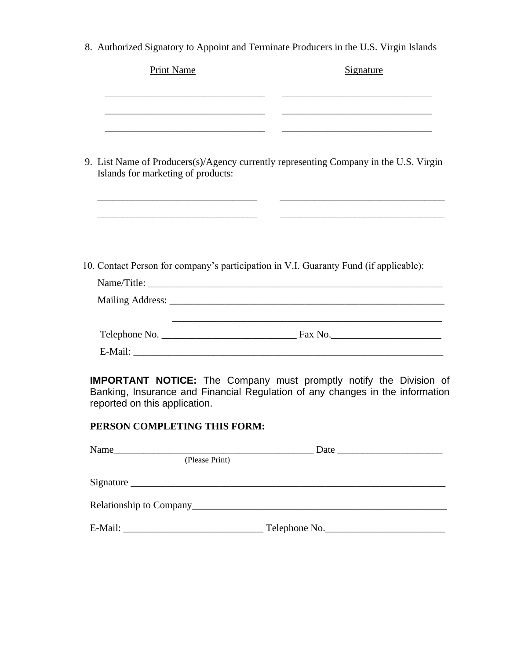8. Authorized Signatory to Appoint and Terminate Producers in the U.S. Virgin Islands

| <b>Print Name</b>                                                                     | <u>Signature</u>                                                                                                                                                                                                              |
|---------------------------------------------------------------------------------------|-------------------------------------------------------------------------------------------------------------------------------------------------------------------------------------------------------------------------------|
|                                                                                       |                                                                                                                                                                                                                               |
|                                                                                       |                                                                                                                                                                                                                               |
| Islands for marketing of products:                                                    | 9. List Name of Producers(s)/Agency currently representing Company in the U.S. Virgin                                                                                                                                         |
|                                                                                       | <u> 1990 - Johann Harry Harry Harry Harry Harry Harry Harry Harry Harry Harry Harry Harry Harry Harry Harry Harry</u>                                                                                                         |
| 10. Contact Person for company's participation in V.I. Guaranty Fund (if applicable): |                                                                                                                                                                                                                               |
|                                                                                       |                                                                                                                                                                                                                               |
|                                                                                       |                                                                                                                                                                                                                               |
|                                                                                       |                                                                                                                                                                                                                               |
|                                                                                       |                                                                                                                                                                                                                               |
| reported on this application.                                                         | <b>IMPORTANT NOTICE:</b> The Company must promptly notify the Division of<br>Banking, Insurance and Financial Regulation of any changes in the information                                                                    |
| PERSON COMPLETING THIS FORM:                                                          |                                                                                                                                                                                                                               |
| Name<br>(Please Print)                                                                | Date has been a series of the series of the series of the series of the series of the series of the series of the series of the series of the series of the series of the series of the series of the series of the series of |
|                                                                                       |                                                                                                                                                                                                                               |
|                                                                                       |                                                                                                                                                                                                                               |

| E-Mail: | NO.<br>$\lceil$ elephone $\lceil$<br>_____ |
|---------|--------------------------------------------|
|---------|--------------------------------------------|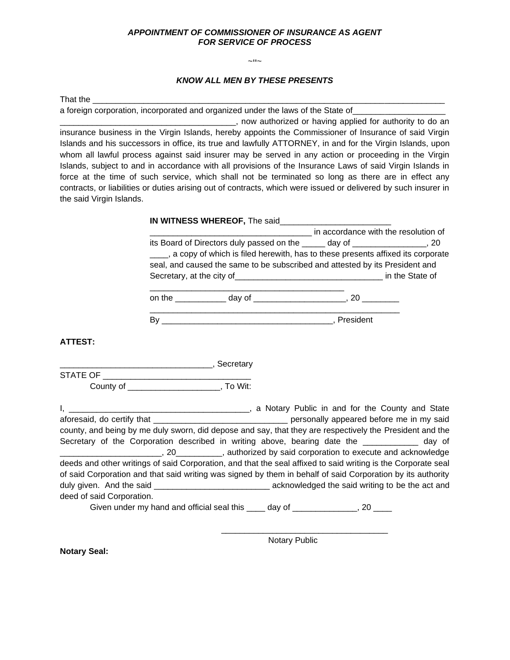#### *APPOINTMENT OF COMMISSIONER OF INSURANCE AS AGENT FOR SERVICE OF PROCESS*

 $\sim$ ײ $\sim$ 

#### *KNOW ALL MEN BY THESE PRESENTS*

That the **Last** 

a foreign corporation, incorporated and organized under the laws of the State of

\_\_\_\_\_\_\_\_\_\_\_\_\_\_\_\_\_\_\_\_\_\_\_\_\_\_\_\_\_\_\_\_\_\_\_\_\_\_, now authorized or having applied for authority to do an insurance business in the Virgin Islands, hereby appoints the Commissioner of Insurance of said Virgin Islands and his successors in office, its true and lawfully ATTORNEY, in and for the Virgin Islands, upon whom all lawful process against said insurer may be served in any action or proceeding in the Virgin Islands, subject to and in accordance with all provisions of the Insurance Laws of said Virgin Islands in force at the time of such service, which shall not be terminated so long as there are in effect any contracts, or liabilities or duties arising out of contracts, which were issued or delivered by such insurer in the said Virgin Islands.

|        | IN WITNESS WHEREOF, The said                                                        |                                      |
|--------|-------------------------------------------------------------------------------------|--------------------------------------|
|        |                                                                                     | in accordance with the resolution of |
|        | its Board of Directors duly passed on the ______ day of _________________, 20       |                                      |
|        | ___, a copy of which is filed herewith, has to these presents affixed its corporate |                                      |
|        | seal, and caused the same to be subscribed and attested by its President and        |                                      |
|        |                                                                                     | in the State of                      |
|        |                                                                                     |                                      |
| on the | day of                                                                              |                                      |

By \_\_\_\_\_\_\_\_\_\_\_\_\_\_\_\_\_\_\_\_\_\_\_\_\_\_\_\_\_\_\_\_\_\_\_\_\_, President

**ATTEST:**

\_\_\_\_\_\_\_\_\_\_\_\_\_\_\_\_\_\_\_\_\_\_\_\_\_\_\_\_\_\_\_\_\_, Secretary STATE OF County of \_\_\_\_\_\_\_\_\_\_\_\_\_\_\_\_\_\_\_\_, To Wit:

|                                                                                                               | a Notary Public in and for the County and State                                                          |
|---------------------------------------------------------------------------------------------------------------|----------------------------------------------------------------------------------------------------------|
|                                                                                                               | personally appeared before me in my said                                                                 |
|                                                                                                               | county, and being by me duly sworn, did depose and say, that they are respectively the President and the |
| Secretary of the Corporation described in writing above, bearing date the __________ day of                   |                                                                                                          |
|                                                                                                               | _______, 20__________, authorized by said corporation to execute and acknowledge                         |
| deeds and other writings of said Corporation, and that the seal affixed to said writing is the Corporate seal |                                                                                                          |
| of said Corporation and that said writing was signed by them in behalf of said Corporation by its authority   |                                                                                                          |
|                                                                                                               | acknowledged the said writing to be the act and                                                          |
| deed of said Corporation.                                                                                     |                                                                                                          |
| Given under my hand and official seal this ____ day of _______________,                                       | 20                                                                                                       |

Notary Public

\_\_\_\_\_\_\_\_\_\_\_\_\_\_\_\_\_\_\_\_\_\_\_\_\_\_\_\_\_\_\_\_\_\_\_\_

**Notary Seal:**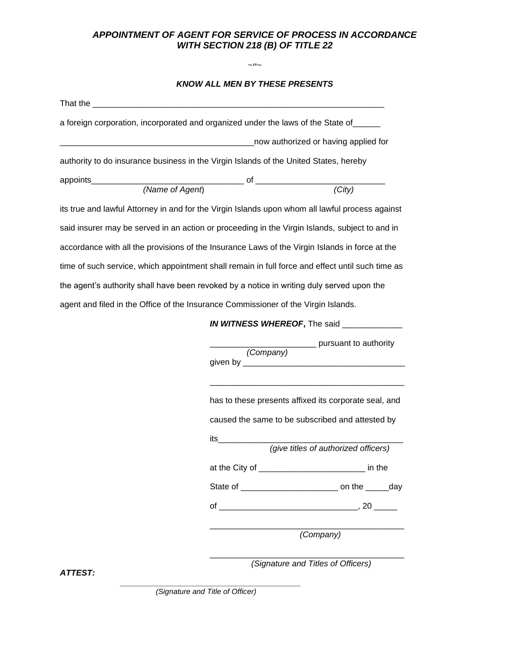### *APPOINTMENT OF AGENT FOR SERVICE OF PROCESS IN ACCORDANCE WITH SECTION 218 (B) OF TITLE 22*

 $\sim$ ײ $\sim$ 

#### *KNOW ALL MEN BY THESE PRESENTS*

|                 | a foreign corporation, incorporated and organized under the laws of the State of ______          |
|-----------------|--------------------------------------------------------------------------------------------------|
|                 | now authorized or having applied for                                                             |
|                 | authority to do insurance business in the Virgin Islands of the United States, hereby            |
|                 |                                                                                                  |
| (Name of Agent) | (City)                                                                                           |
|                 | its true and lawful Attorney in and for the Virgin Islands upon whom all lawful process against  |
|                 | said insurer may be served in an action or proceeding in the Virgin Islands, subject to and in   |
|                 | accordance with all the provisions of the Insurance Laws of the Virgin Islands in force at the   |
|                 | time of such service, which appointment shall remain in full force and effect until such time as |
|                 | the agent's authority shall have been revoked by a notice in writing duly served upon the        |
|                 | agent and filed in the Office of the Insurance Commissioner of the Virgin Islands.               |
|                 | IN WITNESS WHEREOF, The said                                                                     |
|                 | ________ pursuant to authority<br>(Company)                                                      |
|                 |                                                                                                  |
|                 | has to these presents affixed its corporate seal, and                                            |
|                 | caused the same to be subscribed and attested by                                                 |
|                 | its in the set<br>(give titles of authorized officers)                                           |
|                 |                                                                                                  |
|                 | at the City of __________________________ in the                                                 |
|                 |                                                                                                  |
|                 | of $\qquad \qquad \qquad .20$                                                                    |
|                 |                                                                                                  |

*(Company)*

*(Signature and Titles of Officers)*

\_\_\_\_\_\_\_\_\_\_\_\_\_\_\_\_\_\_\_\_\_\_\_\_\_\_\_\_\_\_\_\_\_\_\_\_\_\_\_\_\_\_

\_\_\_\_\_\_\_\_\_\_\_\_\_\_\_\_\_\_\_\_\_\_\_\_\_\_\_\_\_\_\_\_\_\_\_\_\_\_\_\_\_\_

*ATTEST:*

**\_\_\_\_\_\_\_\_\_\_\_\_\_\_\_\_\_\_\_\_\_\_\_\_\_\_\_\_\_\_\_\_\_\_\_\_\_\_\_** *(Signature and Title of Officer)*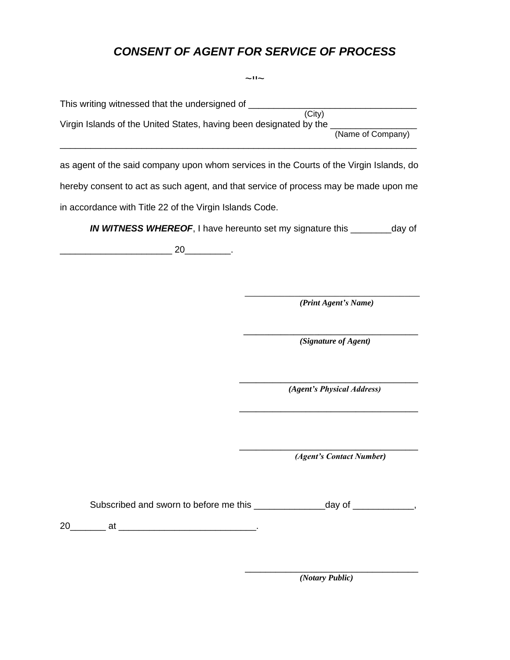# *CONSENT OF AGENT FOR SERVICE OF PROCESS*

|                                                                                         | ᆡᆡᆺ                                                                                 |
|-----------------------------------------------------------------------------------------|-------------------------------------------------------------------------------------|
| This writing witnessed that the undersigned of _______________                          |                                                                                     |
| Virgin Islands of the United States, having been designated by the ______________       | (City)<br>(Name of Company)                                                         |
| as agent of the said company upon whom services in the Courts of the Virgin Islands, do |                                                                                     |
| hereby consent to act as such agent, and that service of process may be made upon me    |                                                                                     |
| in accordance with Title 22 of the Virgin Islands Code.                                 |                                                                                     |
|                                                                                         | <b>IN WITNESS WHEREOF, I</b> have hereunto set my signature this __________day of   |
| $\overbrace{20}$ .                                                                      |                                                                                     |
|                                                                                         |                                                                                     |
|                                                                                         | (Print Agent's Name)                                                                |
|                                                                                         | (Signature of Agent)                                                                |
|                                                                                         | (Agent's Physical Address)                                                          |
|                                                                                         | (Agent's Contact Number)                                                            |
|                                                                                         | Subscribed and sworn to before me this _______________________day of _____________, |
|                                                                                         |                                                                                     |
|                                                                                         |                                                                                     |

*(Notary Public)*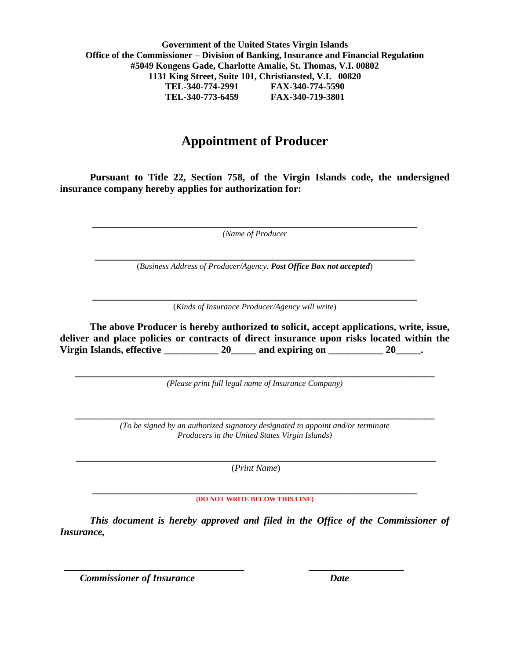**Government of the United States Virgin Islands Office of the Commissioner – Division of Banking, Insurance and Financial Regulation #5049 Kongens Gade, Charlotte Amalie, St. Thomas, V.I. 00802 1131 King Street, Suite 101, Christiansted, V.I. 00820 TEL-340-774-2991 FAX-340-774-5590 TEL-340-773-6459 FAX-340-719-3801**

# **Appointment of Producer**

**Pursuant to Title 22, Section 758, of the Virgin Islands code, the undersigned insurance company hereby applies for authorization for:**

**\_\_\_\_\_\_\_\_\_\_\_\_\_\_\_\_\_\_\_\_\_\_\_\_\_\_\_\_\_\_\_\_\_\_\_\_\_\_\_\_\_\_\_\_\_\_\_\_\_\_\_\_\_\_\_\_\_\_\_\_\_\_\_\_\_** *(Name of Producer*

**\_\_\_\_\_\_\_\_\_\_\_\_\_\_\_\_\_\_\_\_\_\_\_\_\_\_\_\_\_\_\_\_\_\_\_\_\_\_\_\_\_\_\_\_\_\_\_\_\_\_\_\_\_\_\_\_\_\_\_\_\_\_\_\_** (*Business Address of Producer/Agency. Post Office Box not accepted*)

**\_\_\_\_\_\_\_\_\_\_\_\_\_\_\_\_\_\_\_\_\_\_\_\_\_\_\_\_\_\_\_\_\_\_\_\_\_\_\_\_\_\_\_\_\_\_\_\_\_\_\_\_\_\_\_\_\_\_\_\_\_\_\_\_\_** (*Kinds of Insurance Producer/Agency will write*)

**The above Producer is hereby authorized to solicit, accept applications, write, issue, deliver and place policies or contracts of direct insurance upon risks located within the Virgin Islands, effective \_\_\_\_\_\_\_\_\_\_\_ 20\_\_\_\_\_ and expiring on \_\_\_\_\_\_\_\_\_\_\_ 20\_\_\_\_\_.** 

**\_\_\_\_\_\_\_\_\_\_\_\_\_\_\_\_\_\_\_\_\_\_\_\_\_\_\_\_\_\_\_\_\_\_\_\_\_\_\_\_\_\_\_\_\_\_\_\_\_\_\_\_\_\_\_\_\_\_\_\_\_\_\_\_\_\_\_\_\_\_\_\_** *(Please print full legal name of Insurance Company)*

**\_\_\_\_\_\_\_\_\_\_\_\_\_\_\_\_\_\_\_\_\_\_\_\_\_\_\_\_\_\_\_\_\_\_\_\_\_\_\_\_\_\_\_\_\_\_\_\_\_\_\_\_\_\_\_\_\_\_\_\_\_\_\_\_\_\_\_\_\_\_\_\_** *(To be signed by an authorized signatory designated to appoint and/or terminate Producers in the United States Virgin Islands)*

**\_\_\_\_\_\_\_\_\_\_\_\_\_\_\_\_\_\_\_\_\_\_\_\_\_\_\_\_\_\_\_\_\_\_\_\_\_\_\_\_\_\_\_\_\_\_\_\_\_\_\_\_\_\_\_\_\_\_\_\_\_\_\_\_\_\_\_\_\_\_\_\_** (*Print Name*)

#### **\_\_\_\_\_\_\_\_\_\_\_\_\_\_\_\_\_\_\_\_\_\_\_\_\_\_\_\_\_\_\_\_\_\_\_\_\_\_\_\_\_\_\_\_\_\_\_\_\_\_\_\_\_\_\_\_\_\_\_\_\_\_\_\_\_ (DO NOT WRITE BELOW THIS LINE)**

*This document is hereby approved and filed in the Office of the Commissioner of Insurance,*

 *\_\_\_\_\_\_\_\_\_\_\_\_\_\_\_\_\_\_\_\_\_\_\_\_\_\_\_\_\_\_\_\_\_\_\_\_ \_\_\_\_\_\_\_\_\_\_\_\_\_\_\_\_\_\_\_*

 *Commissioner of Insurance Date*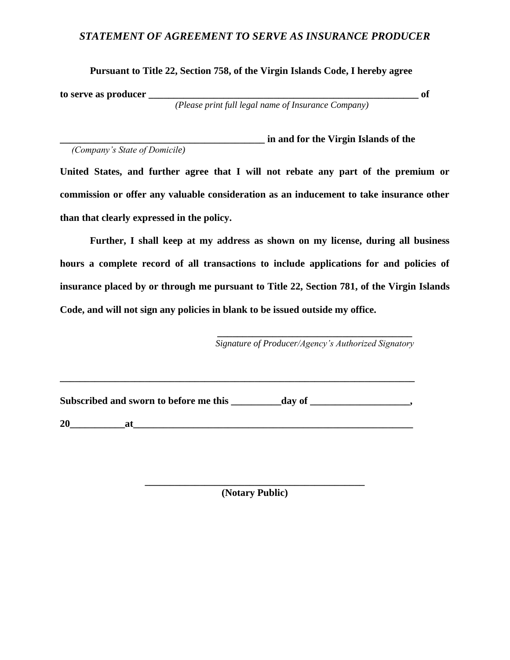### *STATEMENT OF AGREEMENT TO SERVE AS INSURANCE PRODUCER*

**Pursuant to Title 22, Section 758, of the Virgin Islands Code, I hereby agree** 

**to serve as producer \_\_\_\_\_\_\_\_\_\_\_\_\_\_\_\_\_\_\_\_\_\_\_\_\_\_\_\_\_\_\_\_\_\_\_\_\_\_\_\_\_\_\_\_\_\_\_\_\_\_\_\_\_\_ of**

 *(Please print full legal name of Insurance Company)*

**\_\_\_\_\_\_\_\_\_\_\_\_\_\_\_\_\_\_\_\_\_\_\_\_\_\_\_\_\_\_\_\_\_\_\_\_\_\_\_\_\_ in and for the Virgin Islands of the**   *(Company's State of Domicile)*

**United States, and further agree that I will not rebate any part of the premium or commission or offer any valuable consideration as an inducement to take insurance other than that clearly expressed in the policy.** 

**Further, I shall keep at my address as shown on my license, during all business hours a complete record of all transactions to include applications for and policies of insurance placed by or through me pursuant to Title 22, Section 781, of the Virgin Islands Code, and will not sign any policies in blank to be issued outside my office.** 

> **\_\_\_\_\_\_\_\_\_\_\_\_\_\_\_\_\_\_\_\_\_\_\_\_\_\_\_\_\_\_\_\_\_\_\_\_\_\_\_** *Signature of Producer/Agency's Authorized Signatory*

Subscribed and sworn to before me this day of \_\_\_\_\_\_\_\_\_\_\_\_\_\_\_\_\_,

**\_\_\_\_\_\_\_\_\_\_\_\_\_\_\_\_\_\_\_\_\_\_\_\_\_\_\_\_\_\_\_\_\_\_\_\_\_\_\_\_\_\_\_\_\_\_\_\_\_\_\_\_\_\_\_\_\_\_\_\_\_\_\_\_\_\_\_\_\_\_\_**

 $20$  at

**\_\_\_\_\_\_\_\_\_\_\_\_\_\_\_\_\_\_\_\_\_\_\_\_\_\_\_\_\_\_\_\_\_\_\_\_\_\_\_\_\_\_\_\_ (Notary Public)**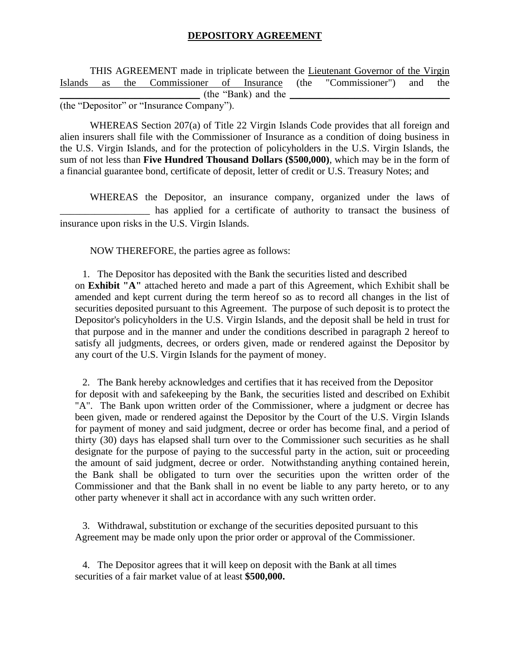#### **DEPOSITORY AGREEMENT**

THIS AGREEMENT made in triplicate between the Lieutenant Governor of the Virgin Islands as the Commissioner of Insurance (the "Commissioner") and the (the "Bank) and the  $\overline{\phantom{a}}$ (the "Depositor" or "Insurance Company").

WHEREAS Section 207(a) of Title 22 Virgin Islands Code provides that all foreign and alien insurers shall file with the Commissioner of Insurance as a condition of doing business in the U.S. Virgin Islands, and for the protection of policyholders in the U.S. Virgin Islands, the sum of not less than **Five Hundred Thousand Dollars (\$500,000)**, which may be in the form of a financial guarantee bond, certificate of deposit, letter of credit or U.S. Treasury Notes; and

WHEREAS the Depositor, an insurance company, organized under the laws of \_\_\_\_\_\_\_\_\_\_\_\_\_\_\_\_\_\_ has applied for a certificate of authority to transact the business of insurance upon risks in the U.S. Virgin Islands.

NOW THEREFORE, the parties agree as follows:

1. The Depositor has deposited with the Bank the securities listed and described on **Exhibit "A"** attached hereto and made a part of this Agreement, which Exhibit shall be amended and kept current during the term hereof so as to record all changes in the list of securities deposited pursuant to this Agreement. The purpose of such deposit is to protect the Depositor's policyholders in the U.S. Virgin Islands, and the deposit shall be held in trust for that purpose and in the manner and under the conditions described in paragraph 2 hereof to satisfy all judgments, decrees, or orders given, made or rendered against the Depositor by any court of the U.S. Virgin Islands for the payment of money.

2. The Bank hereby acknowledges and certifies that it has received from the Depositor for deposit with and safekeeping by the Bank, the securities listed and described on Exhibit "A". The Bank upon written order of the Commissioner, where a judgment or decree has been given, made or rendered against the Depositor by the Court of the U.S. Virgin Islands for payment of money and said judgment, decree or order has become final, and a period of thirty (30) days has elapsed shall turn over to the Commissioner such securities as he shall designate for the purpose of paying to the successful party in the action, suit or proceeding the amount of said judgment, decree or order. Notwithstanding anything contained herein, the Bank shall be obligated to turn over the securities upon the written order of the Commissioner and that the Bank shall in no event be liable to any party hereto, or to any other party whenever it shall act in accordance with any such written order.

3. Withdrawal, substitution or exchange of the securities deposited pursuant to this Agreement may be made only upon the prior order or approval of the Commissioner.

4. The Depositor agrees that it will keep on deposit with the Bank at all times securities of a fair market value of at least **\$500,000.**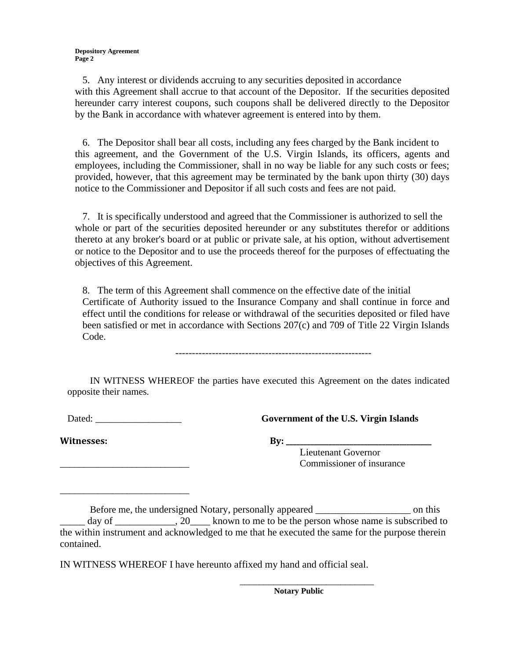**Depository Agreement Page 2**

5. Any interest or dividends accruing to any securities deposited in accordance with this Agreement shall accrue to that account of the Depositor. If the securities deposited hereunder carry interest coupons, such coupons shall be delivered directly to the Depositor by the Bank in accordance with whatever agreement is entered into by them.

6. The Depositor shall bear all costs, including any fees charged by the Bank incident to this agreement, and the Government of the U.S. Virgin Islands, its officers, agents and employees, including the Commissioner, shall in no way be liable for any such costs or fees; provided, however, that this agreement may be terminated by the bank upon thirty (30) days notice to the Commissioner and Depositor if all such costs and fees are not paid.

7. It is specifically understood and agreed that the Commissioner is authorized to sell the whole or part of the securities deposited hereunder or any substitutes therefor or additions thereto at any broker's board or at public or private sale, at his option, without advertisement or notice to the Depositor and to use the proceeds thereof for the purposes of effectuating the objectives of this Agreement.

8. The term of this Agreement shall commence on the effective date of the initial Certificate of Authority issued to the Insurance Company and shall continue in force and effect until the conditions for release or withdrawal of the securities deposited or filed have been satisfied or met in accordance with Sections 207(c) and 709 of Title 22 Virgin Islands Code.

IN WITNESS WHEREOF the parties have executed this Agreement on the dates indicated opposite their names.

Dated: \_\_\_\_\_\_\_\_\_\_\_\_\_\_\_\_\_\_ **Government of the U.S. Virgin Islands**

Witnesses: By:

 $\frac{1}{\sqrt{2}}$  ,  $\frac{1}{\sqrt{2}}$  ,  $\frac{1}{\sqrt{2}}$  ,  $\frac{1}{\sqrt{2}}$  ,  $\frac{1}{\sqrt{2}}$  ,  $\frac{1}{\sqrt{2}}$  ,  $\frac{1}{\sqrt{2}}$  ,  $\frac{1}{\sqrt{2}}$  ,  $\frac{1}{\sqrt{2}}$  ,  $\frac{1}{\sqrt{2}}$  ,  $\frac{1}{\sqrt{2}}$  ,  $\frac{1}{\sqrt{2}}$  ,  $\frac{1}{\sqrt{2}}$  ,  $\frac{1}{\sqrt{2}}$  ,  $\frac{1}{\sqrt{2}}$ 

Lieutenant Governor Commissioner of insurance

Before me, the undersigned Notary, personally appeared on this on this day of the subscribed to  $\lambda$ , 20 and however to be the person whose name is subscribed to the within instrument and acknowledged to me that he executed the same for the purpose therein contained.

IN WITNESS WHEREOF I have hereunto affixed my hand and official seal.

**Notary Public**

\_\_\_\_\_\_\_\_\_\_\_\_\_\_\_\_\_\_\_\_\_\_\_\_\_\_\_\_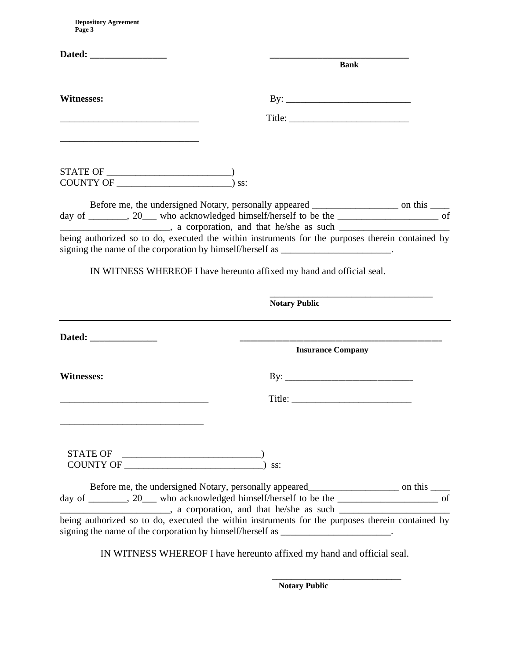**Depository Agreement Page 3**

|                                                                                                                                                                                                                                                                                                                                                                                                | <b>Bank</b>                                                                                                                                                                           |  |
|------------------------------------------------------------------------------------------------------------------------------------------------------------------------------------------------------------------------------------------------------------------------------------------------------------------------------------------------------------------------------------------------|---------------------------------------------------------------------------------------------------------------------------------------------------------------------------------------|--|
|                                                                                                                                                                                                                                                                                                                                                                                                |                                                                                                                                                                                       |  |
| Witnesses:                                                                                                                                                                                                                                                                                                                                                                                     | $\text{By:}\_$                                                                                                                                                                        |  |
|                                                                                                                                                                                                                                                                                                                                                                                                |                                                                                                                                                                                       |  |
|                                                                                                                                                                                                                                                                                                                                                                                                |                                                                                                                                                                                       |  |
| $\begin{picture}(150,10) \put(0,0){\dashbox{0.5}(10,0){ }} \put(150,0){\circle{10}} \put(150,0){\circle{10}} \put(150,0){\circle{10}} \put(150,0){\circle{10}} \put(150,0){\circle{10}} \put(150,0){\circle{10}} \put(150,0){\circle{10}} \put(150,0){\circle{10}} \put(150,0){\circle{10}} \put(150,0){\circle{10}} \put(150,0){\circle{10}} \put(150,0){\circle{10}} \put(150,$<br>COUNTY OF | $\sum$ ss:                                                                                                                                                                            |  |
|                                                                                                                                                                                                                                                                                                                                                                                                | Before me, the undersigned Notary, personally appeared ________________________ on this _____                                                                                         |  |
|                                                                                                                                                                                                                                                                                                                                                                                                | day of _______, 20___ who acknowledged himself/herself to be the _________________ of                                                                                                 |  |
|                                                                                                                                                                                                                                                                                                                                                                                                | being authorized so to do, executed the within instruments for the purposes therein contained by<br>signing the name of the corporation by himself/herself as ______________________. |  |
|                                                                                                                                                                                                                                                                                                                                                                                                | IN WITNESS WHEREOF I have hereunto affixed my hand and official seal.                                                                                                                 |  |
|                                                                                                                                                                                                                                                                                                                                                                                                | <b>Notary Public</b>                                                                                                                                                                  |  |
|                                                                                                                                                                                                                                                                                                                                                                                                |                                                                                                                                                                                       |  |
|                                                                                                                                                                                                                                                                                                                                                                                                | <b>Insurance Company</b>                                                                                                                                                              |  |
| <b>Witnesses:</b>                                                                                                                                                                                                                                                                                                                                                                              |                                                                                                                                                                                       |  |
|                                                                                                                                                                                                                                                                                                                                                                                                |                                                                                                                                                                                       |  |
|                                                                                                                                                                                                                                                                                                                                                                                                |                                                                                                                                                                                       |  |
| $\begin{picture}(150,10) \put(0,0){\vector(1,0){100}} \put(15,0){\vector(1,0){100}} \put(15,0){\vector(1,0){100}} \put(15,0){\vector(1,0){100}} \put(15,0){\vector(1,0){100}} \put(15,0){\vector(1,0){100}} \put(15,0){\vector(1,0){100}} \put(15,0){\vector(1,0){100}} \put(15,0){\vector(1,0){100}} \put(15,0){\vector(1,0){100}} \put(15,0){\vector(1,0){100}}$                             |                                                                                                                                                                                       |  |
|                                                                                                                                                                                                                                                                                                                                                                                                | ss:                                                                                                                                                                                   |  |
|                                                                                                                                                                                                                                                                                                                                                                                                |                                                                                                                                                                                       |  |
|                                                                                                                                                                                                                                                                                                                                                                                                | Before me, the undersigned Notary, personally appeared___________________________ on this _________                                                                                   |  |
|                                                                                                                                                                                                                                                                                                                                                                                                | day of _______, 20___ who acknowledged himself/herself to be the ________________ of                                                                                                  |  |
|                                                                                                                                                                                                                                                                                                                                                                                                | being authorized so to do, executed the within instruments for the purposes therein contained by<br>signing the name of the corporation by himself/herself as ______________________. |  |

IN WITNESS WHEREOF I have hereunto affixed my hand and official seal.

 $\overline{\phantom{a}}$  , and the contract of the contract of the contract of the contract of the contract of the contract of the contract of the contract of the contract of the contract of the contract of the contract of the contrac

 **Notary Public**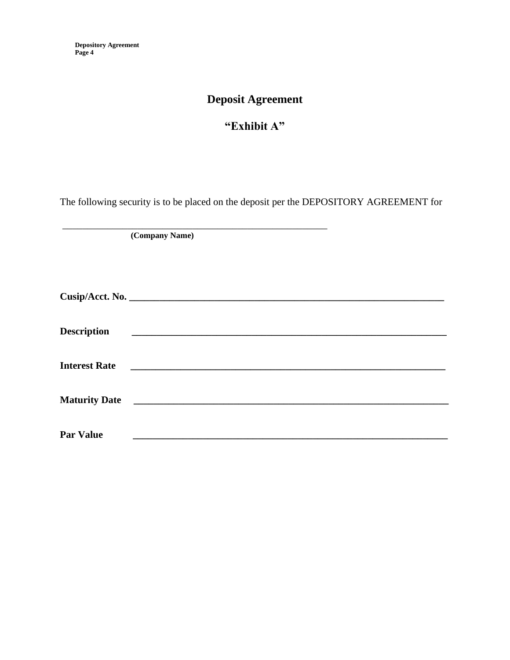# **Deposit Agreement**

# **"Exhibit A"**

The following security is to be placed on the deposit per the DEPOSITORY AGREEMENT for

**(Company Name)**

\_\_\_\_\_\_\_\_\_\_\_\_\_\_\_\_\_\_\_\_\_\_\_\_\_\_\_\_\_\_\_\_\_\_\_\_\_\_\_\_\_\_\_\_\_\_\_\_\_\_\_\_\_

| <b>Description</b>   |  |
|----------------------|--|
| <b>Interest Rate</b> |  |
| <b>Maturity Date</b> |  |
| <b>Par Value</b>     |  |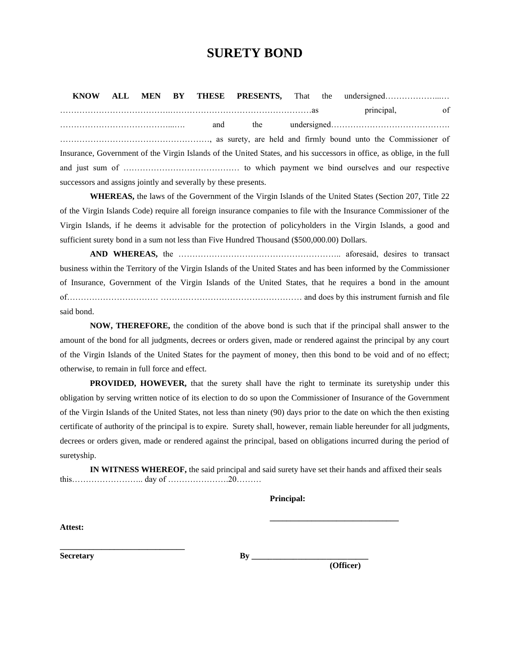# **SURETY BOND**

 **KNOW ALL MEN BY THESE PRESENTS,** That the undersigned………………...… ………………………………….……………………………………………as principal, of …………………………………...…. and the undersigned……………………………………. ………………………………………………, as surety, are held and firmly bound unto the Commissioner of Insurance, Government of the Virgin Islands of the United States, and his successors in office, as oblige, in the full and just sum of …………………………………… to which payment we bind ourselves and our respective successors and assigns jointly and severally by these presents.

**WHEREAS,** the laws of the Government of the Virgin Islands of the United States (Section 207, Title 22 of the Virgin Islands Code) require all foreign insurance companies to file with the Insurance Commissioner of the Virgin Islands, if he deems it advisable for the protection of policyholders in the Virgin Islands, a good and sufficient surety bond in a sum not less than Five Hundred Thousand (\$500,000.00) Dollars.

**AND WHEREAS,** the ………………………………………………….. aforesaid, desires to transact business within the Territory of the Virgin Islands of the United States and has been informed by the Commissioner of Insurance, Government of the Virgin Islands of the United States, that he requires a bond in the amount of…………………………… …………………………………………… and does by this instrument furnish and file said bond.

**NOW, THEREFORE,** the condition of the above bond is such that if the principal shall answer to the amount of the bond for all judgments, decrees or orders given, made or rendered against the principal by any court of the Virgin Islands of the United States for the payment of money, then this bond to be void and of no effect; otherwise, to remain in full force and effect.

**PROVIDED, HOWEVER,** that the surety shall have the right to terminate its suretyship under this obligation by serving written notice of its election to do so upon the Commissioner of Insurance of the Government of the Virgin Islands of the United States, not less than ninety (90) days prior to the date on which the then existing certificate of authority of the principal is to expire. Surety shall, however, remain liable hereunder for all judgments, decrees or orders given, made or rendered against the principal, based on obligations incurred during the period of suretyship.

**IN WITNESS WHEREOF,** the said principal and said surety have set their hands and affixed their seals this…………………….. day of ………………….20………

#### **Principal:**

**Attest:**

**Secretary By \_\_\_\_\_\_\_\_\_\_\_\_\_\_\_\_\_\_\_\_\_\_\_\_\_** 

**\_\_\_\_\_\_\_\_\_\_\_\_\_\_\_\_\_\_\_\_\_\_\_\_\_\_\_\_\_\_**

**(Officer)**

**\_\_\_\_\_\_\_\_\_\_\_\_\_\_\_\_\_\_\_\_\_\_\_\_\_\_\_\_\_\_\_**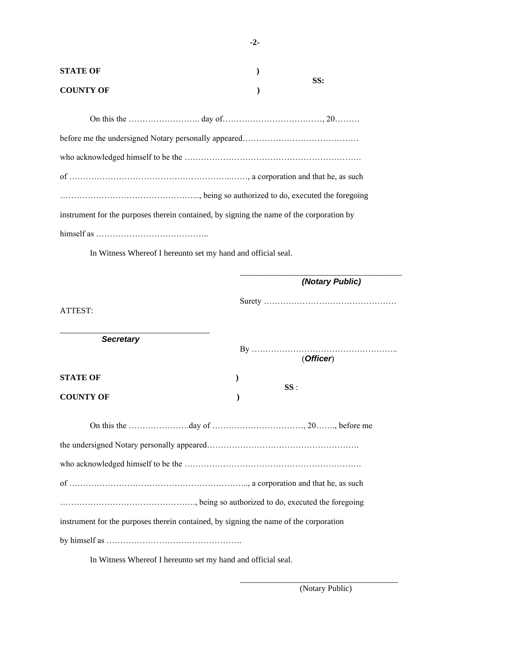| <b>STATE OF</b>  |     |
|------------------|-----|
| <b>COUNTY OF</b> | SS: |

| instrument for the purposes therein contained, by signing the name of the corporation by |
|------------------------------------------------------------------------------------------|
| $himself as … … … … … … … … … … … … … … … … … … … … … … … … … … … … …$                   |

In Witness Whereof I hereunto set my hand and official seal.

|                                                                                       | (Notary Public) |
|---------------------------------------------------------------------------------------|-----------------|
| ATTEST:                                                                               |                 |
| <b>Secretary</b>                                                                      | (Officer)       |
| <b>STATE OF</b>                                                                       | $\mathcal{E}$   |
| <b>COUNTY OF</b>                                                                      | SS:             |
|                                                                                       |                 |
|                                                                                       |                 |
|                                                                                       |                 |
|                                                                                       |                 |
|                                                                                       |                 |
| instrument for the purposes therein contained, by signing the name of the corporation |                 |
|                                                                                       |                 |
|                                                                                       |                 |

In Witness Whereof I hereunto set my hand and official seal.

(Notary Public)

\_\_\_\_\_\_\_\_\_\_\_\_\_\_\_\_\_\_\_\_\_\_\_\_\_\_\_\_\_\_\_\_\_\_\_\_\_\_

**-2-**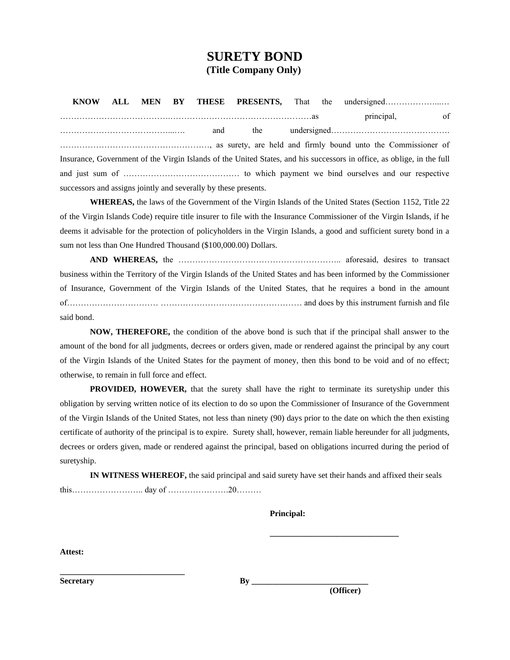## **SURETY BOND (Title Company Only)**

 **KNOW ALL MEN BY THESE PRESENTS,** That the undersigned………………...… ………………………………….……………………………………………as principal, of …………………………………...…. and the undersigned……………………………………. ………………………………………………, as surety, are held and firmly bound unto the Commissioner of Insurance, Government of the Virgin Islands of the United States, and his successors in office, as oblige, in the full and just sum of …………………………………… to which payment we bind ourselves and our respective successors and assigns jointly and severally by these presents.

**WHEREAS,** the laws of the Government of the Virgin Islands of the United States (Section 1152, Title 22 of the Virgin Islands Code) require title insurer to file with the Insurance Commissioner of the Virgin Islands, if he deems it advisable for the protection of policyholders in the Virgin Islands, a good and sufficient surety bond in a sum not less than One Hundred Thousand (\$100,000.00) Dollars.

**AND WHEREAS,** the ………………………………………………….. aforesaid, desires to transact business within the Territory of the Virgin Islands of the United States and has been informed by the Commissioner of Insurance, Government of the Virgin Islands of the United States, that he requires a bond in the amount of…………………………… …………………………………………… and does by this instrument furnish and file said bond.

**NOW, THEREFORE,** the condition of the above bond is such that if the principal shall answer to the amount of the bond for all judgments, decrees or orders given, made or rendered against the principal by any court of the Virgin Islands of the United States for the payment of money, then this bond to be void and of no effect; otherwise, to remain in full force and effect.

**PROVIDED, HOWEVER,** that the surety shall have the right to terminate its suretyship under this obligation by serving written notice of its election to do so upon the Commissioner of Insurance of the Government of the Virgin Islands of the United States, not less than ninety (90) days prior to the date on which the then existing certificate of authority of the principal is to expire. Surety shall, however, remain liable hereunder for all judgments, decrees or orders given, made or rendered against the principal, based on obligations incurred during the period of suretyship.

**IN WITNESS WHEREOF,** the said principal and said surety have set their hands and affixed their seals this…………………….. day of ………………….20………

**Principal:**

**Attest:**

Secretary **By** 

**\_\_\_\_\_\_\_\_\_\_\_\_\_\_\_\_\_\_\_\_\_\_\_\_\_\_\_\_\_\_**

**(Officer)**

**\_\_\_\_\_\_\_\_\_\_\_\_\_\_\_\_\_\_\_\_\_\_\_\_\_\_\_\_\_\_\_**